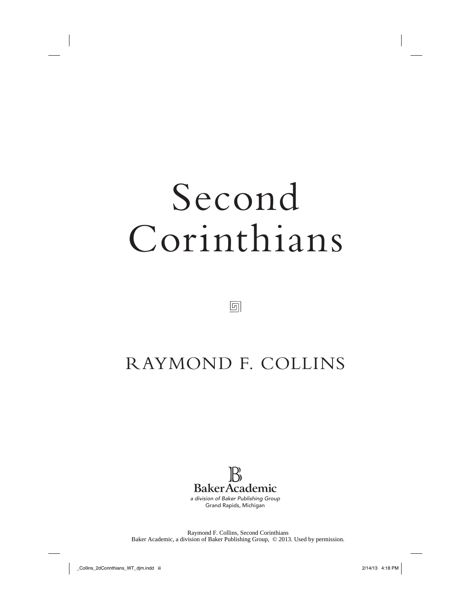# Second Corinthians

団

## RAYMOND F. COLLINS



Raymond F. Collins, Second Corinthians Baker Academic, a division of Baker Publishing Group, © 2013. Used by permission.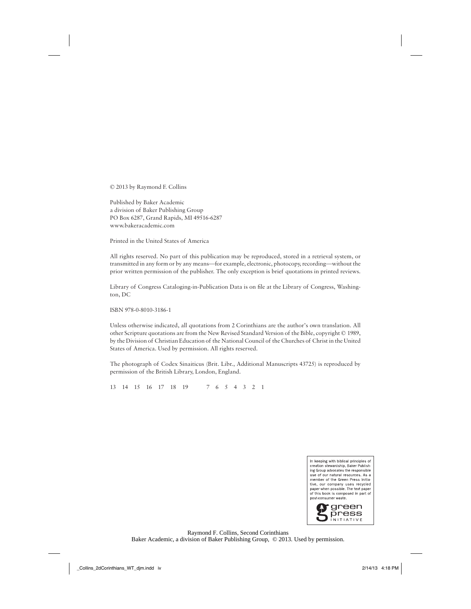© 2013 by Raymond F. Collins

Published by Baker Academic a division of Baker Publishing Group PO Box 6287, Grand Rapids, MI 49516-6287 www.bakeracademic.com

Printed in the United States of America

All rights reserved. No part of this publication may be reproduced, stored in a retrieval system, or transmitted in any form or by any means—for example, electronic, photocopy, recording—without the prior written permission of the publisher. The only exception is brief quotations in printed reviews.

Library of Congress Cataloging-in-Publication Data is on file at the Library of Congress, Washington, DC

ISBN 978-0-8010-3186-1

Unless otherwise indicated, all quotations from 2 Corinthians are the author's own translation. All other Scripture quotations are from the New Revised Standard Version of the Bible, copyright © 1989, by the Division of Christian Education of the National Council of the Churches of Christ in the United States of America. Used by permission. All rights reserved.

The photograph of Codex Sinaiticus (Brit. Libr., Additional Manuscripts 43725) is reproduced by permission of the British Library, London, England.

13 14 15 16 17 18 19 7 6 5 4 3 2 1



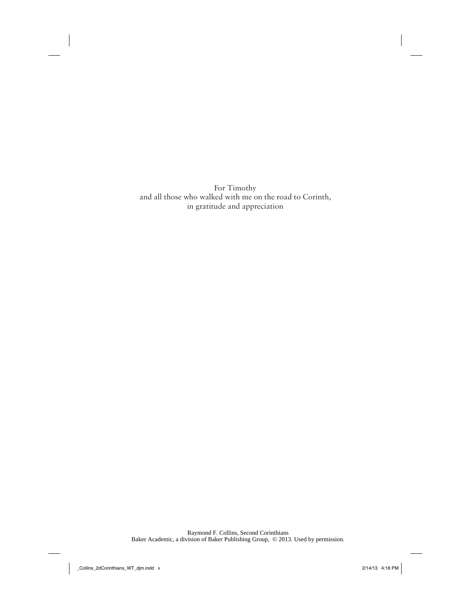For Timothy and all those who walked with me on the road to Corinth, in gratitude and appreciation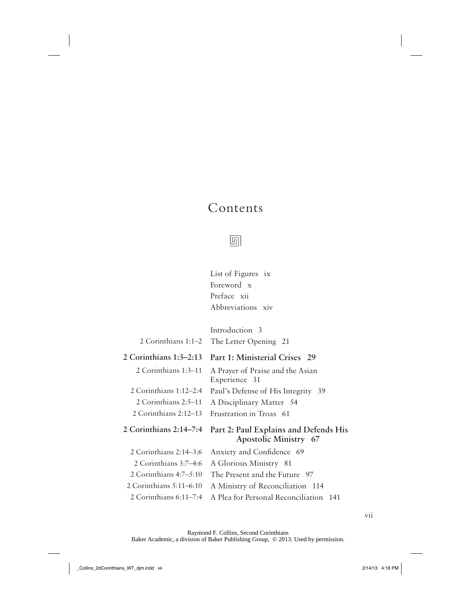## Contents

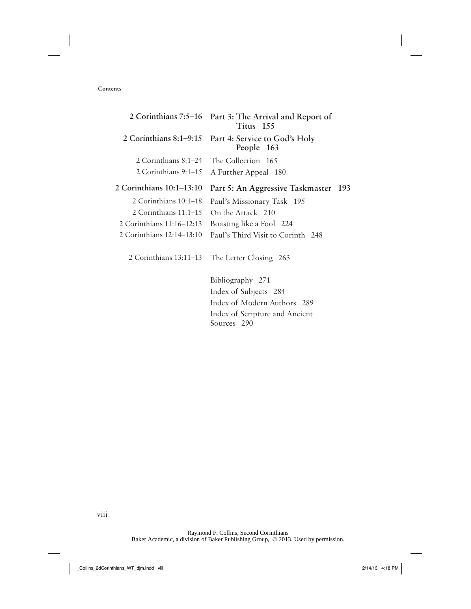#### **Contents**

|                           | 2 Corinthians 7:5–16 Part 3: The Arrival and Report of<br>Titus 155 |
|---------------------------|---------------------------------------------------------------------|
| 2 Corinthians $8:1-9:15$  | Part 4: Service to God's Holy<br>People 163                         |
| 2 Corinthians $8:1-24$    | The Collection 165                                                  |
| 2 Corinthians 9:1–15      | A Further Appeal 180                                                |
| 2 Corinthians 10:1-13:10  | Part 5: An Aggressive Taskmaster 193                                |
| 2 Corinthians 10:1–18     | Paul's Missionary Task 195                                          |
| 2 Corinthians $11:1-15$   | On the Attack 210                                                   |
| 2 Corinthians 11:16–12:13 | Boasting like a Fool 224                                            |
| 2 Corinthians 12:14–13:10 | Paul's Third Visit to Corinth 248                                   |
| 2 Corinthians 13:11–13    | The Letter Closing 263                                              |
|                           | Bibliography 271                                                    |
|                           | Index of Subjects 284                                               |
|                           | Index of Modern Authors 289                                         |
|                           | Index of Scripture and Ancient                                      |
|                           | Sources 290                                                         |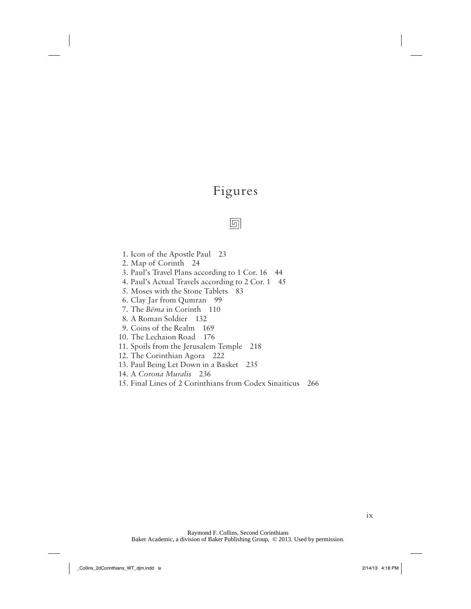## Figures

#### 回

- 1. Icon of the Apostle Paul 23
- 2. Map of Corinth 24
- 3. Paul's Travel Plans according to 1 Cor. 16 44
- 4. Paul's Actual Travels according to 2 Cor. 1 45
- 5. Moses with the Stone Tablets 83
- 6. Clay Jar from Qumran 99
- 7. The *Bēma* in Corinth 110
- 8. A Roman Soldier 132
- 9. Coins of the Realm 169
- 10. The Lechaion Road 176
- 11. Spoils from the Jerusalem Temple 218
- 12. The Corinthian Agora 222
- 13. Paul Being Let Down in a Basket 235
- 14. A *Corona Muralis* 236
- 15. Final Lines of 2 Corinthians from Codex Sinaiticus 266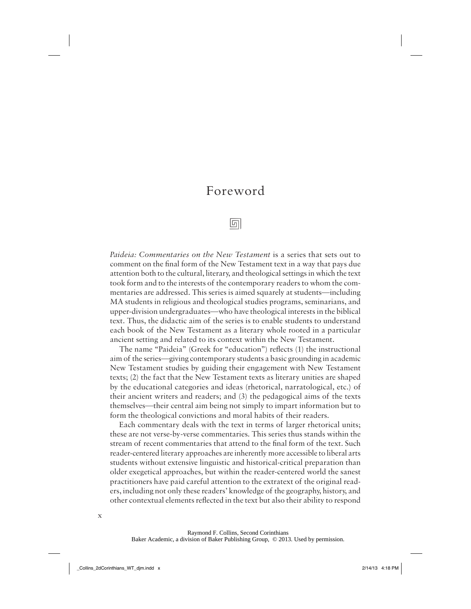### Foreword

回

*Paideia: Commentaries on the New Testament* is a series that sets out to comment on the final form of the New Testament text in a way that pays due attention both to the cultural, literary, and theological settings in which the text took form and to the interests of the contemporary readers to whom the commentaries are addressed. This series is aimed squarely at students—including MA students in religious and theological studies programs, seminarians, and upper-division undergraduates—who have theological interests in the biblical text. Thus, the didactic aim of the series is to enable students to understand each book of the New Testament as a literary whole rooted in a particular ancient setting and related to its context within the New Testament.

The name "Paideia" (Greek for "education") reflects (1) the instructional aim of the series—giving contemporary students a basic grounding in academic New Testament studies by guiding their engagement with New Testament texts; (2) the fact that the New Testament texts as literary unities are shaped by the educational categories and ideas (rhetorical, narratological, etc.) of their ancient writers and readers; and (3) the pedagogical aims of the texts themselves—their central aim being not simply to impart information but to form the theological convictions and moral habits of their readers.

Each commentary deals with the text in terms of larger rhetorical units; these are not verse-by-verse commentaries. This series thus stands within the stream of recent commentaries that attend to the final form of the text. Such reader-centered literary approaches are inherently more accessible to liberal arts students without extensive linguistic and historical-critical preparation than older exegetical approaches, but within the reader-centered world the sanest practitioners have paid careful attention to the extratext of the original readers, including not only these readers' knowledge of the geography, history, and other contextual elements reflected in the text but also their ability to respond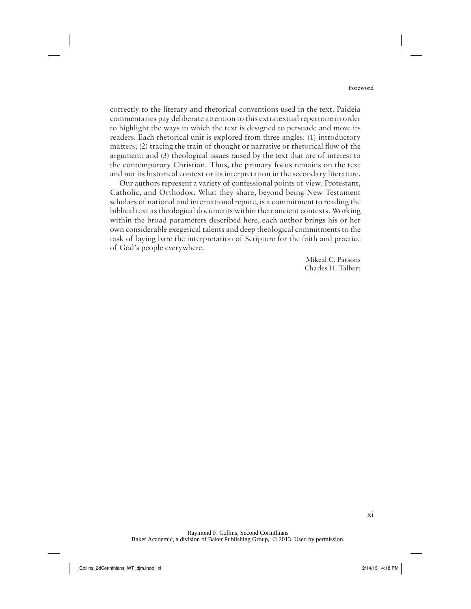correctly to the literary and rhetorical conventions used in the text. Paideia commentaries pay deliberate attention to this extratextual repertoire in order to highlight the ways in which the text is designed to persuade and move its readers. Each rhetorical unit is explored from three angles: (1) introductory matters; (2) tracing the train of thought or narrative or rhetorical flow of the argument; and (3) theological issues raised by the text that are of interest to the contemporary Christian. Thus, the primary focus remains on the text and not its historical context or its interpretation in the secondary literature.

Our authors represent a variety of confessional points of view: Protestant, Catholic, and Orthodox. What they share, beyond being New Testament scholars of national and international repute, is a commitment to reading the biblical text as theological documents within their ancient contexts. Working within the broad parameters described here, each author brings his or her own considerable exegetical talents and deep theological commitments to the task of laying bare the interpretation of Scripture for the faith and practice of God's people everywhere.

> Mikeal C. Parsons Charles H. Talbert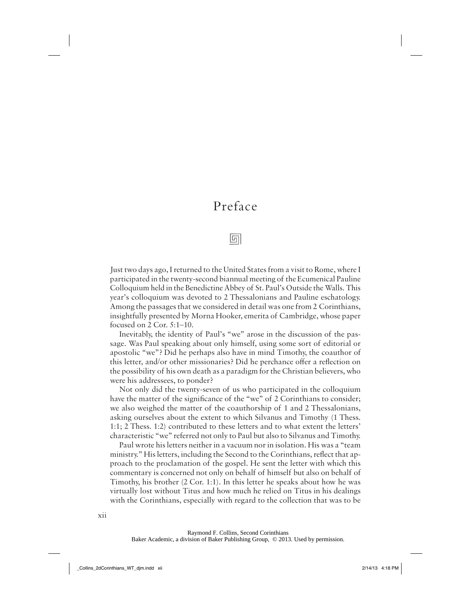## Preface

回

Just two days ago, I returned to the United States from a visit to Rome, where I participated in the twenty-second biannual meeting of the Ecumenical Pauline Colloquium held in the Benedictine Abbey of St. Paul's Outside the Walls. This year's colloquium was devoted to 2 Thessalonians and Pauline eschatology. Among the passages that we considered in detail was one from 2 Corinthians, insightfully presented by Morna Hooker, emerita of Cambridge, whose paper focused on 2 Cor. 5:1–10.

Inevitably, the identity of Paul's "we" arose in the discussion of the passage. Was Paul speaking about only himself, using some sort of editorial or apostolic "we"? Did he perhaps also have in mind Timothy, the coauthor of this letter, and/or other missionaries? Did he perchance offer a reflection on the possibility of his own death as a paradigm for the Christian believers, who were his addressees, to ponder?

Not only did the twenty-seven of us who participated in the colloquium have the matter of the significance of the "we" of 2 Corinthians to consider; we also weighed the matter of the coauthorship of 1 and 2 Thessalonians, asking ourselves about the extent to which Silvanus and Timothy (1 Thess. 1:1; 2 Thess. 1:2) contributed to these letters and to what extent the letters' characteristic "we" referred not only to Paul but also to Silvanus and Timothy.

Paul wrote his letters neither in a vacuum nor in isolation. His was a "team ministry." His letters, including the Second to the Corinthians, reflect that approach to the proclamation of the gospel. He sent the letter with which this commentary is concerned not only on behalf of himself but also on behalf of Timothy, his brother (2 Cor. 1:1). In this letter he speaks about how he was virtually lost without Titus and how much he relied on Titus in his dealings with the Corinthians, especially with regard to the collection that was to be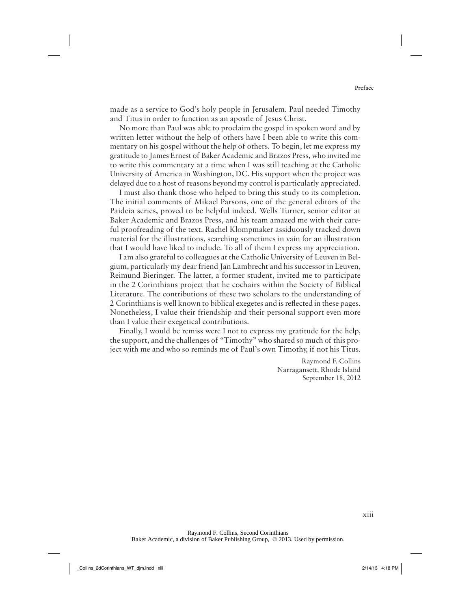made as a service to God's holy people in Jerusalem. Paul needed Timothy and Titus in order to function as an apostle of Jesus Christ.

No more than Paul was able to proclaim the gospel in spoken word and by written letter without the help of others have I been able to write this commentary on his gospel without the help of others. To begin, let me express my gratitude to James Ernest of Baker Academic and Brazos Press, who invited me to write this commentary at a time when I was still teaching at the Catholic University of America in Washington, DC. His support when the project was delayed due to a host of reasons beyond my control is particularly appreciated.

I must also thank those who helped to bring this study to its completion. The initial comments of Mikael Parsons, one of the general editors of the Paideia series, proved to be helpful indeed. Wells Turner, senior editor at Baker Academic and Brazos Press, and his team amazed me with their careful proofreading of the text. Rachel Klompmaker assiduously tracked down material for the illustrations, searching sometimes in vain for an illustration that I would have liked to include. To all of them I express my appreciation.

I am also grateful to colleagues at the Catholic University of Leuven in Belgium, particularly my dear friend Jan Lambrecht and his successor in Leuven, Reimund Bieringer. The latter, a former student, invited me to participate in the 2 Corinthians project that he cochairs within the Society of Biblical Literature. The contributions of these two scholars to the understanding of 2 Corinthians is well known to biblical exegetes and is reflected in these pages. Nonetheless, I value their friendship and their personal support even more than I value their exegetical contributions.

Finally, I would be remiss were I not to express my gratitude for the help, the support, and the challenges of "Timothy" who shared so much of this project with me and who so reminds me of Paul's own Timothy, if not his Titus.

> Raymond F. Collins Narragansett, Rhode Island September 18, 2012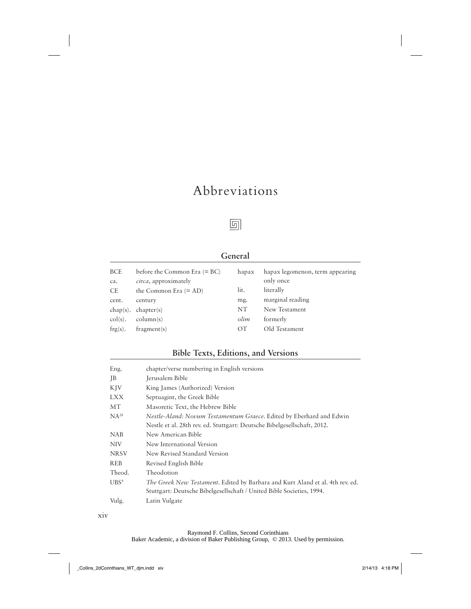## Abbreviations



#### **General**

| <b>BCE</b><br>ca. | before the Common Era $(= BC)$<br><i>circa</i> , approximately | hapax           | hapax legomenon, term appearing<br>only once |
|-------------------|----------------------------------------------------------------|-----------------|----------------------------------------------|
| <b>CE</b>         | the Common Era $(= AD)$                                        | lit.            | literally                                    |
| cent.             | century                                                        | mg.             | marginal reading                             |
|                   | $chap(s)$ . $chapter(s)$                                       | NT              | New Testament                                |
| $\text{col}(s)$ . | $\text{column}(s)$                                             | olim            | formerly                                     |
| $frg(s)$ .        | fragment(s)                                                    | $\overline{OT}$ | Old Testament                                |

#### **Bible Texts, Editions, and Versions**

| Eng.             | chapter/verse numbering in English versions                                   |
|------------------|-------------------------------------------------------------------------------|
| <b>IB</b>        | Jerusalem Bible                                                               |
| KJV              | King James (Authorized) Version                                               |
| <b>LXX</b>       | Septuagint, the Greek Bible                                                   |
| МT               | Masoretic Text, the Hebrew Bible                                              |
| $NA^{28}$        | Nestle-Aland: Novum Testamentum Graece. Edited by Eberhard and Edwin          |
|                  | Nestle et al. 28th rev. ed. Stuttgart: Deutsche Bibelgesellschaft, 2012.      |
| <b>NAB</b>       | New American Bible                                                            |
| <b>NIV</b>       | New International Version                                                     |
| <b>NRSV</b>      | New Revised Standard Version                                                  |
| <b>REB</b>       | Revised English Bible                                                         |
| Theod.           | Theodotion                                                                    |
| UBS <sup>4</sup> | The Greek New Testament. Edited by Barbara and Kurt Aland et al. 4th rev. ed. |
|                  | Stuttgart: Deutsche Bibelgesellschaft / United Bible Societies, 1994.         |
| Vulg.            | Latin Vulgate                                                                 |
|                  |                                                                               |

xiv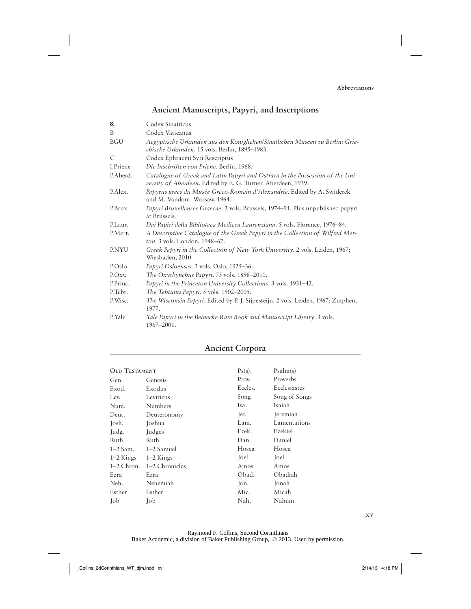#### **Ancient Manuscripts, Papyri, and Inscriptions**

| x            | Codex Sinaiticus                                                                                                                              |
|--------------|-----------------------------------------------------------------------------------------------------------------------------------------------|
| B            | Codex Vaticanus                                                                                                                               |
| <b>BGU</b>   | Aegyptische Urkunden aus den Königlichen/Staatlichen Museen zu Berlin: Grie-<br>chische Urkunden. 15 vols. Berlin, 1895–1983.                 |
| C            | Codex Ephraemi Syri Rescriptus                                                                                                                |
| I.Priene     | Die Inschriften von Priene. Berlin, 1968.                                                                                                     |
| P.Aberd.     | Catalogue of Greek and Latin Papyri and Ostraca in the Possession of the Uni-<br>versity of Aberdeen. Edited by E. G. Turner. Aberdeen, 1939. |
| P.Alex.      | Papyrus grecs du Musée Gréco-Romain d'Alexandrie. Edited by A. Swiderek<br>and M. Vandoni. Warsaw, 1964.                                      |
| P.Brux.      | Papyri Bruxellenses Graecae. 2 vols. Brussels, 1974-91. Plus unpublished papyri<br>at Brussels.                                               |
| P.Laur.      | Dai Papiri della Biblioteca Medicea Laurenziana. 5 vols. Florence, 1976–84.                                                                   |
| P.Mert.      | A Descriptive Catalogue of the Greek Papyri in the Collection of Wilfred Mer-<br><i>ton.</i> 3 vols. London, 1948–67.                         |
| <b>P.NYU</b> | Greek Papyri in the Collection of New York University. 2 vols. Leiden, 1967;<br>Wiesbaden, 2010.                                              |
| P.Oslo       | Papyri Osloenses. 3 vols. Oslo, 1925–36.                                                                                                      |
| P. Oxy.      | The Oxyrhynchus Papyri. 75 vols. 1898–2010.                                                                                                   |
| P.Princ.     | Papyri in the Princeton University Collections. 3 vols. 1931–42.                                                                              |
| P.Tebt.      | The Tebtunis Papyri. 5 vols. 1902-2005.                                                                                                       |
| P. Wisc.     | <i>The Wisconsin Papyri</i> . Edited by P. J. Sijpesteijn. 2 vols. Leiden, 1967; Zutphen,<br>1977.                                            |
| P.Yale       | Yale Papyri in the Beinecke Rare Book and Manuscript Library. 3 vols.<br>1967-2001.                                                           |

#### **Ancient Corpora**

| <b>OLD TESTAMENT</b> |                | $Ps(s)$ .   | Psalm(s)      |
|----------------------|----------------|-------------|---------------|
| Gen.                 | Genesis        | Prov.       | Proverbs      |
| Exod.                | Exodus         | Eccles.     | Ecclesiastes  |
| Lev.                 | Leviticus      | Song        | Song of Songs |
| Num.                 | <b>Numbers</b> | Isa.        | Isaiah        |
| Deut.                | Deuteronomy    | Jer.        | Jeremiah      |
| Josh.                | Joshua         | Lam.        | Lamentations  |
| Judg.                | Judges         | Ezek.       | Ezekiel       |
| Ruth                 | Ruth           | Dan.        | Daniel        |
| $1-2$ Sam.           | 1–2 Samuel     | Hosea       | Hosea         |
| $1-2$ Kings          | $1-2$ Kings    | <b>Toel</b> | Joel          |
| $1-2$ Chron.         | 1–2 Chronicles | Amos        | Amos          |
| Ezra                 | Ezra           | Obad.       | Obadiah       |
| Neh.                 | Nehemiah       | Jon.        | Jonah         |
| Esther               | Esther         | Mic.        | Micah         |
| Job                  | Job            | Nah.        | Nahum         |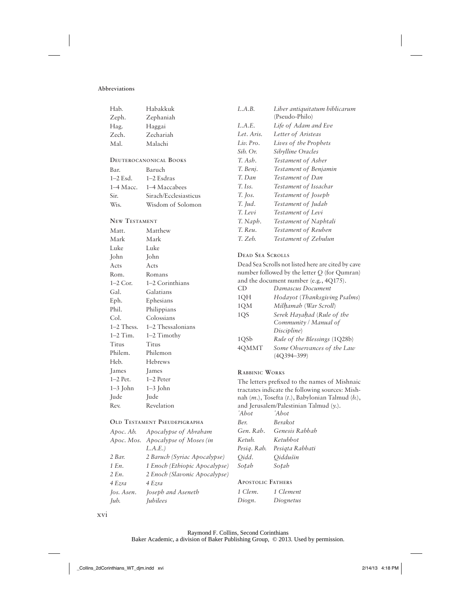#### **Abbreviations**

| Hab.                 | Habakkuk                            | L.A.B.                  | Liber antiquitatum biblicarum                                                            |
|----------------------|-------------------------------------|-------------------------|------------------------------------------------------------------------------------------|
| Zeph.                | Zephaniah                           |                         | (Pseudo-Philo)                                                                           |
| Hag.                 | Haggai                              | L.A.E.                  | Life of Adam and Eve                                                                     |
| Zech.                | Zechariah                           | Let. Aris.              | Letter of Aristeas                                                                       |
| Mal.                 | Malachi                             | Liv. Pro.               | Lives of the Prophets                                                                    |
|                      |                                     | Sib. Or.                | Sibylline Oracles                                                                        |
|                      | <b>DEUTEROCANONICAL BOOKS</b>       | T. Ash.                 | Testament of Asher                                                                       |
| Bar.                 | Baruch                              | T. Benj.                | Testament of Benjamin                                                                    |
| $1-2$ Esd.           | $1-2$ Esdras                        | T. Dan                  | Testament of Dan                                                                         |
| $1-4$ Macc.          | 1–4 Maccabees                       | T. Iss.                 | Testament of Issachar                                                                    |
| Sir.                 | Sirach/Ecclesiasticus               | $T.$ Jos.               | Testament of Joseph                                                                      |
| Wis.                 | Wisdom of Solomon                   | T. Jud.                 | Testament of Judah                                                                       |
|                      |                                     | T. Levi                 | Testament of Levi                                                                        |
| <b>NEW TESTAMENT</b> |                                     | T. Naph.                | Testament of Naphtali                                                                    |
| Matt.                | Matthew                             | T. Reu.                 | Testament of Reuben                                                                      |
|                      |                                     | T. Zeb.                 | Testament of Zebulun                                                                     |
| Mark                 | Mark                                |                         |                                                                                          |
| Luke                 | Luke                                | <b>DEAD SEA SCROLLS</b> |                                                                                          |
| John                 | John                                |                         |                                                                                          |
| Acts                 | Acts                                |                         | Dead Sea Scrolls not listed here are cited by cave                                       |
| Rom.                 | Romans                              |                         | number followed by the letter $Q$ (for Qumran)<br>and the document number (e.g., 4Q175). |
| $1-2$ Cor.           | 1-2 Corinthians                     | CD                      | Damascus Document                                                                        |
| Gal.                 | Galatians                           | 1QH                     | Hodayot (Thanksgiving Psalms)                                                            |
| Eph.                 | Ephesians                           |                         |                                                                                          |
| Phil.                | Philippians                         | $1{\rm QM}$             | Milhamah (War Scroll)                                                                    |
| Col.                 | Colossians                          | 1QS                     | Serek Hayahad (Rule of the                                                               |
| $1-2$ Thess.         | 1-2 Thessalonians                   |                         | Community / Manual of<br>Discipline)                                                     |
| $1-2$ Tim.           | 1–2 Timothy                         |                         |                                                                                          |
| Titus                | Titus                               | 1QSb                    | Rule of the Blessings (1Q28b)                                                            |
| Philem.              | Philemon                            | 4QMMT                   | Some Observances of the Law<br>$(4Q394 - 399)$                                           |
| Heb.                 | <b>Hebrews</b>                      |                         |                                                                                          |
| James                | <b>James</b>                        | <b>RABBINIC WORKS</b>   |                                                                                          |
| $1-2$ Pet.           | 1-2 Peter                           |                         | The letters prefixed to the names of Mishnaic                                            |
| $1-3$ John           | $1-3$ John                          |                         | tractates indicate the following sources: Mish-                                          |
| Jude                 | Jude                                |                         | nah (m.), Tosefta (t.), Babylonian Talmud (b.),                                          |
| Rev.                 | Revelation                          |                         | and Jerusalem/Palestinian Talmud (y.).                                                   |
|                      |                                     | 'Abot                   | 'Abot                                                                                    |
|                      | <b>OLD TESTAMENT PSEUDEPIGRAPHA</b> | Ber.                    | Berakot                                                                                  |
| Apoc. Ab.            | Apocalypse of Abraham               | Gen. Rab.               | Genesis Rabbah                                                                           |
|                      | Apoc. Mos. Apocalypse of Moses (in  | Ketub.                  | Ketubbot                                                                                 |
|                      | L.A.E.)                             | Pesig. Rab.             | Pesigta Rabbati                                                                          |

| Apoc. Mos. Apocalypse of Moses (in |
|------------------------------------|
| L.A.E.                             |
| 2 Baruch (Syriac Apocalypse)       |
| 1 Enoch (Ethiopic Apocalypse)      |
| 2 Enoch (Slavonic Apocalypse)      |
| 4 Ezra                             |
| Joseph and Aseneth                 |
| <i><u>Iubilees</u></i>             |
|                                    |

*Qidd. Qiddušin Soṭah Soṭah*

**APOSTOLIC FATHERS** *1 Clem. 1 Clement Diogn. Diognetus*

xvi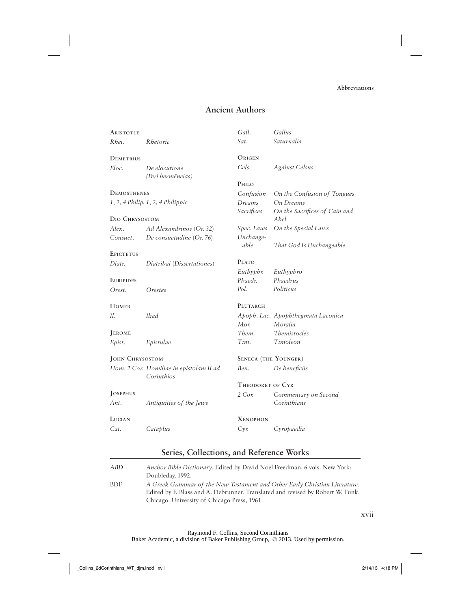#### **Ancient Authors**

| <b>ARISTOTLE</b>       |                                                       | Gall.                       | Gallus                                |
|------------------------|-------------------------------------------------------|-----------------------------|---------------------------------------|
| Rhet.                  | Rhetoric                                              | Sat.                        | Saturnalia                            |
|                        |                                                       |                             |                                       |
| DEMETRIUS              |                                                       | ORIGEN                      |                                       |
| Eloc.                  | De elocutione<br>(Peri hermēneias)                    | Cels.                       | <b>Against Celsus</b>                 |
|                        |                                                       | PHILO                       |                                       |
| <b>DEMOSTHENES</b>     |                                                       | Confusion                   | On the Confusion of Tongues           |
|                        | $1, 2, 4$ Philip. $1, 2, 4$ Philippic                 | Dreams                      | <b>On Dreams</b>                      |
| DIO CHRYSOSTOM         |                                                       | Sacrifices                  | On the Sacrifices of Cain and<br>Abel |
| Alex.                  | Ad Alexandrinos (Or. 32)                              | Spec. Laws                  | On the Special Laws                   |
| Consuet.               | De consuetudine $(Or. 76)$                            | Unchange-                   |                                       |
|                        |                                                       | able                        | That God Is Unchangeable              |
| <b>EPICTETUS</b>       |                                                       |                             |                                       |
| Diatr.                 | Diatribai (Dissertationes)                            | <b>PLATO</b>                |                                       |
|                        |                                                       | Euthyphr.                   | Euthyphro                             |
| <b>EURIPIDES</b>       |                                                       | Phaedr.                     | Phaedrus                              |
| Orest.                 | Orestes                                               | Pol.                        | Politicus                             |
| HOMER                  |                                                       | PLUTARCH                    |                                       |
| Il.                    | Iliad                                                 |                             | Apoph. Lac. Apophthegmata Laconica    |
|                        |                                                       | Mor.                        | Moralia                               |
| <b>JEROME</b>          |                                                       | Them.                       | <b>Themistocles</b>                   |
| Epist.                 | Epistulae                                             | Tim.                        | Timoleon                              |
| <b>JOHN CHRYSOSTOM</b> |                                                       | <b>SENECA (THE YOUNGER)</b> |                                       |
|                        | Hom. 2 Cor. Homiliae in epistolam II ad<br>Corinthios | Ben.                        | De beneficiis                         |
|                        |                                                       | THEODORET OF CYR            |                                       |
| JOSEPHUS               |                                                       | 2 Cor.                      | Commentary on Second                  |
| Ant.                   | Antiquities of the Jews                               |                             | Corinthians                           |
| LUCIAN                 |                                                       | <b>XENOPHON</b>             |                                       |
| Cat.                   | Cataplus                                              | $Cyr$ .                     | Cyropaedia                            |
|                        |                                                       |                             |                                       |

#### **Series, Collections, and Reference Works**

| ABD. | Anchor Bible Dictionary. Edited by David Noel Freedman. 6 vols. New York:      |
|------|--------------------------------------------------------------------------------|
|      | Doubleday, 1992.                                                               |
| BDF  | A Greek Grammar of the New Testament and Other Early Christian Literature.     |
|      | Edited by F. Blass and A. Debrunner. Translated and revised by Robert W. Funk. |
|      | Chicago: University of Chicago Press, 1961.                                    |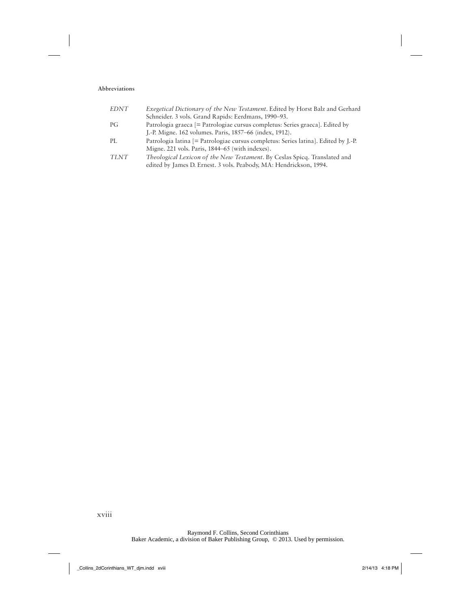#### **Abbreviations**

| <b>EDNT</b> | <i>Exegetical Dictionary of the New Testament. Edited by Horst Balz and Gerhard</i><br>Schneider. 3 vols. Grand Rapids: Eerdmans, 1990–93.             |
|-------------|--------------------------------------------------------------------------------------------------------------------------------------------------------|
| PG          | Patrologia graeca [= Patrologiae cursus completus: Series graeca]. Edited by<br>J.-P. Migne. 162 volumes. Paris, 1857–66 (index, 1912).                |
| PL          | Patrologia latina [= Patrologiae cursus completus: Series latina]. Edited by J.-P.<br>Migne. 221 vols. Paris, 1844–65 (with indexes).                  |
| <b>TLNT</b> | <i>Theological Lexicon of the New Testament. By Ceslas Spicq. Translated and</i><br>edited by James D. Ernest. 3 vols. Peabody, MA: Hendrickson, 1994. |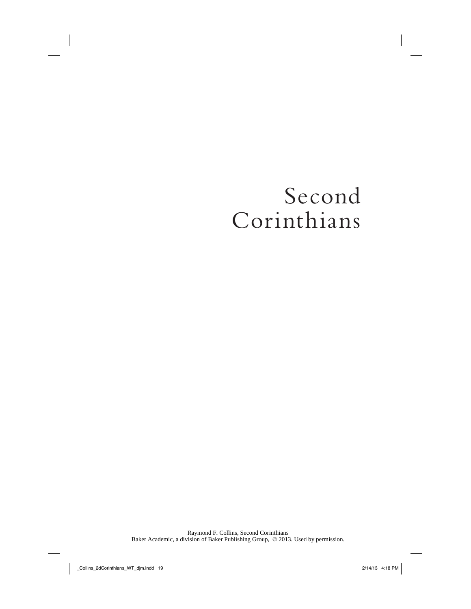## Second Corinthians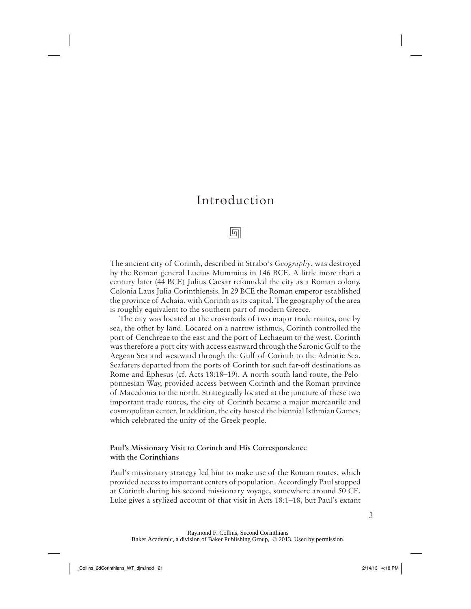## Introduction

5

The ancient city of Corinth, described in Strabo's *Geography*, was destroyed by the Roman general Lucius Mummius in 146 BCE. A little more than a century later (44 BCE) Julius Caesar refounded the city as a Roman colony, Colonia Laus Julia Corinthiensis. In 29 BCE the Roman emperor established the province of Achaia, with Corinth as its capital. The geography of the area is roughly equivalent to the southern part of modern Greece.

The city was located at the crossroads of two major trade routes, one by sea, the other by land. Located on a narrow isthmus, Corinth controlled the port of Cenchreae to the east and the port of Lechaeum to the west. Corinth was therefore a port city with access eastward through the Saronic Gulf to the Aegean Sea and westward through the Gulf of Corinth to the Adriatic Sea. Seafarers departed from the ports of Corinth for such far-off destinations as Rome and Ephesus (cf. Acts 18:18–19). A north-south land route, the Peloponnesian Way, provided access between Corinth and the Roman province of Macedonia to the north. Strategically located at the juncture of these two important trade routes, the city of Corinth became a major mercantile and cosmopolitan center. In addition, the city hosted the biennial Isthmian Games, which celebrated the unity of the Greek people.

#### **Paul's Missionary Visit to Corinth and His Correspondence with the Corinthians**

Paul's missionary strategy led him to make use of the Roman routes, which provided access to important centers of population. Accordingly Paul stopped at Corinth during his second missionary voyage, somewhere around 50 CE. Luke gives a stylized account of that visit in Acts 18:1–18, but Paul's extant

Raymond F. Collins, Second Corinthians Baker Academic, a division of Baker Publishing Group, © 2013. Used by permission.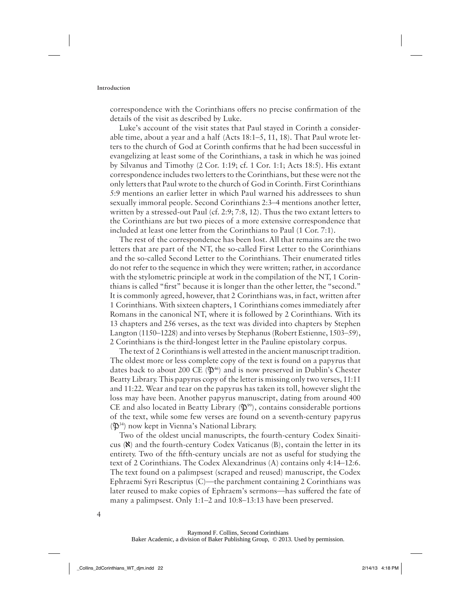correspondence with the Corinthians offers no precise confirmation of the details of the visit as described by Luke.

Luke's account of the visit states that Paul stayed in Corinth a considerable time, about a year and a half (Acts 18:1–5, 11, 18). That Paul wrote letters to the church of God at Corinth confirms that he had been successful in evangelizing at least some of the Corinthians, a task in which he was joined by Silvanus and Timothy (2 Cor. 1:19; cf. 1 Cor. 1:1; Acts 18:5). His extant correspondence includes two letters to the Corinthians, but these were not the only letters that Paul wrote to the church of God in Corinth. First Corinthians 5:9 mentions an earlier letter in which Paul warned his addressees to shun sexually immoral people. Second Corinthians 2:3–4 mentions another letter, written by a stressed-out Paul (cf. 2:9; 7:8, 12). Thus the two extant letters to the Corinthians are but two pieces of a more extensive correspondence that included at least one letter from the Corinthians to Paul (1 Cor. 7:1).

The rest of the correspondence has been lost. All that remains are the two letters that are part of the NT, the so-called First Letter to the Corinthians and the so-called Second Letter to the Corinthians. Their enumerated titles do not refer to the sequence in which they were written; rather, in accordance with the stylometric principle at work in the compilation of the NT, 1 Corinthians is called "first" because it is longer than the other letter, the "second." It is commonly agreed, however, that 2 Corinthians was, in fact, written after 1 Corinthians. With sixteen chapters, 1 Corinthians comes immediately after Romans in the canonical NT, where it is followed by 2 Corinthians. With its 13 chapters and 256 verses, as the text was divided into chapters by Stephen Langton (1150–1228) and into verses by Stephanus (Robert Estienne, 1503–59), 2 Corinthians is the third-longest letter in the Pauline epistolary corpus.

The text of 2 Corinthians is well attested in the ancient manuscript tradition. The oldest more or less complete copy of the text is found on a papyrus that dates back to about 200 CE  $(\mathfrak{P}^{46})$  and is now preserved in Dublin's Chester Beatty Library. This papyrus copy of the letter is missing only two verses, 11:11 and 11:22. Wear and tear on the papyrus has taken its toll, however slight the loss may have been. Another papyrus manuscript, dating from around 400 CE and also located in Beatty Library  $(\mathfrak{P}^{99})$ , contains considerable portions of the text, while some few verses are found on a seventh-century papyrus  $(\mathfrak{P}^{34})$  now kept in Vienna's National Library.

Two of the oldest uncial manuscripts, the fourth-century Codex Sinaiticus (ℵ) and the fourth-century Codex Vaticanus (B), contain the letter in its entirety. Two of the fifth-century uncials are not as useful for studying the text of 2 Corinthians. The Codex Alexandrinus (A) contains only 4:14–12:6. The text found on a palimpsest (scraped and reused) manuscript, the Codex Ephraemi Syri Rescriptus (C)—the parchment containing 2 Corinthians was later reused to make copies of Ephraem's sermons—has suffered the fate of many a palimpsest. Only 1:1–2 and 10:8–13:13 have been preserved.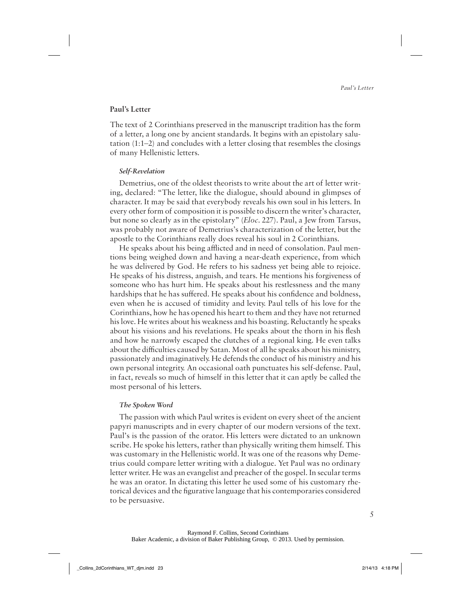#### **Paul's Letter**

The text of 2 Corinthians preserved in the manuscript tradition has the form of a letter, a long one by ancient standards. It begins with an epistolary salutation (1:1–2) and concludes with a letter closing that resembles the closings of many Hellenistic letters.

#### **Self-Revelation**

Demetrius, one of the oldest theorists to write about the art of letter writing, declared: "The letter, like the dialogue, should abound in glimpses of character. It may be said that everybody reveals his own soul in his letters. In every other form of composition it is possible to discern the writer's character, but none so clearly as in the epistolary" (*Eloc.* 227). Paul, a Jew from Tarsus, was probably not aware of Demetrius's characterization of the letter, but the apostle to the Corinthians really does reveal his soul in 2 Corinthians.

He speaks about his being afflicted and in need of consolation. Paul mentions being weighed down and having a near-death experience, from which he was delivered by God. He refers to his sadness yet being able to rejoice. He speaks of his distress, anguish, and tears. He mentions his forgiveness of someone who has hurt him. He speaks about his restlessness and the many hardships that he has suffered. He speaks about his confidence and boldness, even when he is accused of timidity and levity. Paul tells of his love for the Corinthians, how he has opened his heart to them and they have not returned his love. He writes about his weakness and his boasting. Reluctantly he speaks about his visions and his revelations. He speaks about the thorn in his flesh and how he narrowly escaped the clutches of a regional king. He even talks about the difficulties caused by Satan. Most of all he speaks about his ministry, passionately and imaginatively. He defends the conduct of his ministry and his own personal integrity. An occasional oath punctuates his self-defense. Paul, in fact, reveals so much of himself in this letter that it can aptly be called the most personal of his letters.

#### **The Spoken Word**

The passion with which Paul writes is evident on every sheet of the ancient papyri manuscripts and in every chapter of our modern versions of the text. Paul's is the passion of the orator. His letters were dictated to an unknown scribe. He spoke his letters, rather than physically writing them himself. This was customary in the Hellenistic world. It was one of the reasons why Demetrius could compare letter writing with a dialogue. Yet Paul was no ordinary letter writer. He was an evangelist and preacher of the gospel. In secular terms he was an orator. In dictating this letter he used some of his customary rhetorical devices and the figurative language that his contemporaries considered to be persuasive.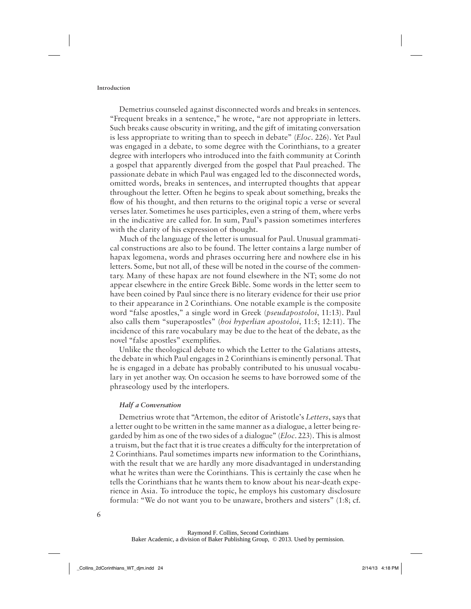Demetrius counseled against disconnected words and breaks in sentences. "Frequent breaks in a sentence," he wrote, "are not appropriate in letters. Such breaks cause obscurity in writing, and the gift of imitating conversation is less appropriate to writing than to speech in debate" (*Eloc.* 226). Yet Paul was engaged in a debate, to some degree with the Corinthians, to a greater degree with interlopers who introduced into the faith community at Corinth a gospel that apparently diverged from the gospel that Paul preached. The passionate debate in which Paul was engaged led to the disconnected words, omitted words, breaks in sentences, and interrupted thoughts that appear throughout the letter. Often he begins to speak about something, breaks the flow of his thought, and then returns to the original topic a verse or several verses later. Sometimes he uses participles, even a string of them, where verbs in the indicative are called for. In sum, Paul's passion sometimes interferes with the clarity of his expression of thought.

Much of the language of the letter is unusual for Paul. Unusual grammatical constructions are also to be found. The letter contains a large number of hapax legomena, words and phrases occurring here and nowhere else in his letters. Some, but not all, of these will be noted in the course of the commentary. Many of these hapax are not found elsewhere in the NT; some do not appear elsewhere in the entire Greek Bible. Some words in the letter seem to have been coined by Paul since there is no literary evidence for their use prior to their appearance in 2 Corinthians. One notable example is the composite word "false apostles," a single word in Greek (*pseudapostoloi*, 11:13). Paul also calls them "superapostles" (*hoi hyperlian apostoloi*, 11:5; 12:11). The incidence of this rare vocabulary may be due to the heat of the debate, as the novel "false apostles" exemplifies.

Unlike the theological debate to which the Letter to the Galatians attests, the debate in which Paul engages in 2 Corinthians is eminently personal. That he is engaged in a debate has probably contributed to his unusual vocabulary in yet another way. On occasion he seems to have borrowed some of the phraseology used by the interlopers.

#### **Half a Conversation**

Demetrius wrote that "Artemon, the editor of Aristotle's *Letters*, says that a letter ought to be written in the same manner as a dialogue, a letter being regarded by him as one of the two sides of a dialogue" (*Eloc.* 223). This is almost a truism, but the fact that it is true creates a difficulty for the interpretation of 2 Corinthians. Paul sometimes imparts new information to the Corinthians, with the result that we are hardly any more disadvantaged in understanding what he writes than were the Corinthians. This is certainly the case when he tells the Corinthians that he wants them to know about his near-death experience in Asia. To introduce the topic, he employs his customary disclosure formula: "We do not want you to be unaware, brothers and sisters" (1:8; cf.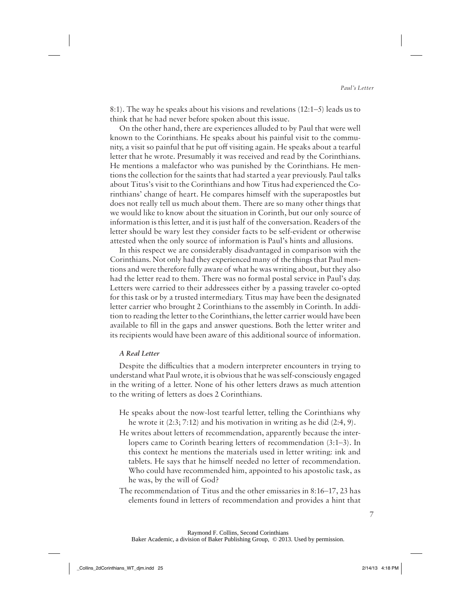8:1). The way he speaks about his visions and revelations (12:1–5) leads us to think that he had never before spoken about this issue.

On the other hand, there are experiences alluded to by Paul that were well known to the Corinthians. He speaks about his painful visit to the community, a visit so painful that he put off visiting again. He speaks about a tearful letter that he wrote. Presumably it was received and read by the Corinthians. He mentions a malefactor who was punished by the Corinthians. He mentions the collection for the saints that had started a year previously. Paul talks about Titus's visit to the Corinthians and how Titus had experienced the Corinthians' change of heart. He compares himself with the superapostles but does not really tell us much about them. There are so many other things that we would like to know about the situation in Corinth, but our only source of information is this letter, and it is just half of the conversation. Readers of the letter should be wary lest they consider facts to be self-evident or otherwise attested when the only source of information is Paul's hints and allusions.

In this respect we are considerably disadvantaged in comparison with the Corinthians. Not only had they experienced many of the things that Paul mentions and were therefore fully aware of what he was writing about, but they also had the letter read to them. There was no formal postal service in Paul's day. Letters were carried to their addressees either by a passing traveler co-opted for this task or by a trusted intermediary. Titus may have been the designated letter carrier who brought 2 Corinthians to the assembly in Corinth. In addition to reading the letter to the Corinthians, the letter carrier would have been available to fill in the gaps and answer questions. Both the letter writer and its recipients would have been aware of this additional source of information.

#### **A Real Letter**

Despite the difficulties that a modern interpreter encounters in trying to understand what Paul wrote, it is obvious that he was self-consciously engaged in the writing of a letter. None of his other letters draws as much attention to the writing of letters as does 2 Corinthians.

- He speaks about the now-lost tearful letter, telling the Corinthians why he wrote it (2:3; 7:12) and his motivation in writing as he did (2:4, 9).
- He writes about letters of recommendation, apparently because the interlopers came to Corinth bearing letters of recommendation (3:1–3). In this context he mentions the materials used in letter writing: ink and tablets. He says that he himself needed no letter of recommendation. Who could have recommended him, appointed to his apostolic task, as he was, by the will of God?
- The recommendation of Titus and the other emissaries in 8:16–17, 23 has elements found in letters of recommendation and provides a hint that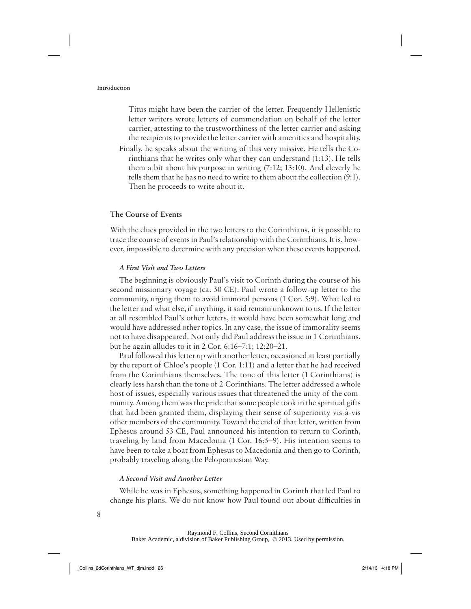Titus might have been the carrier of the letter. Frequently Hellenistic letter writers wrote letters of commendation on behalf of the letter carrier, attesting to the trustworthiness of the letter carrier and asking the recipients to provide the letter carrier with amenities and hospitality. Finally, he speaks about the writing of this very missive. He tells the Corinthians that he writes only what they can understand (1:13). He tells them a bit about his purpose in writing (7:12; 13:10). And cleverly he tells them that he has no need to write to them about the collection (9:1).

Then he proceeds to write about it.

#### **The Course of Events**

With the clues provided in the two letters to the Corinthians, it is possible to trace the course of events in Paul's relationship with the Corinthians. It is, however, impossible to determine with any precision when these events happened.

#### **A First Visit and Two Letters**

The beginning is obviously Paul's visit to Corinth during the course of his second missionary voyage (ca. 50 CE). Paul wrote a follow-up letter to the community, urging them to avoid immoral persons (1 Cor. 5:9). What led to the letter and what else, if anything, it said remain unknown to us. If the letter at all resembled Paul's other letters, it would have been somewhat long and would have addressed other topics. In any case, the issue of immorality seems not to have disappeared. Not only did Paul address the issue in 1 Corinthians, but he again alludes to it in 2 Cor. 6:16–7:1; 12:20–21.

Paul followed this letter up with another letter, occasioned at least partially by the report of Chloe's people (1 Cor. 1:11) and a letter that he had received from the Corinthians themselves. The tone of this letter (1 Corinthians) is clearly less harsh than the tone of 2 Corinthians. The letter addressed a whole host of issues, especially various issues that threatened the unity of the community. Among them was the pride that some people took in the spiritual gifts that had been granted them, displaying their sense of superiority vis-à-vis other members of the community. Toward the end of that letter, written from Ephesus around 53 CE, Paul announced his intention to return to Corinth, traveling by land from Macedonia (1 Cor. 16:5–9). His intention seems to have been to take a boat from Ephesus to Macedonia and then go to Corinth, probably traveling along the Peloponnesian Way.

#### **A Second Visit and Another Letter**

While he was in Ephesus, something happened in Corinth that led Paul to change his plans. We do not know how Paul found out about difficulties in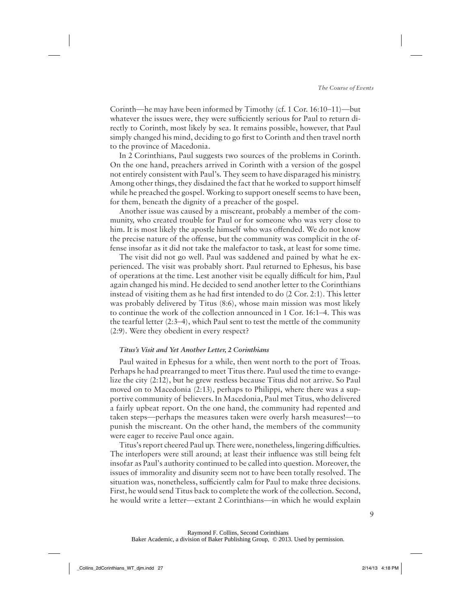Corinth—he may have been informed by Timothy (cf. 1 Cor. 16:10–11)—but whatever the issues were, they were sufficiently serious for Paul to return directly to Corinth, most likely by sea. It remains possible, however, that Paul simply changed his mind, deciding to go first to Corinth and then travel north to the province of Macedonia.

In 2 Corinthians, Paul suggests two sources of the problems in Corinth. On the one hand, preachers arrived in Corinth with a version of the gospel not entirely consistent with Paul's. They seem to have disparaged his ministry. Among other things, they disdained the fact that he worked to support himself while he preached the gospel. Working to support oneself seems to have been, for them, beneath the dignity of a preacher of the gospel.

Another issue was caused by a miscreant, probably a member of the community, who created trouble for Paul or for someone who was very close to him. It is most likely the apostle himself who was offended. We do not know the precise nature of the offense, but the community was complicit in the offense insofar as it did not take the malefactor to task, at least for some time.

The visit did not go well. Paul was saddened and pained by what he experienced. The visit was probably short. Paul returned to Ephesus, his base of operations at the time. Lest another visit be equally difficult for him, Paul again changed his mind. He decided to send another letter to the Corinthians instead of visiting them as he had first intended to do (2 Cor. 2:1). This letter was probably delivered by Titus (8:6), whose main mission was most likely to continue the work of the collection announced in 1 Cor. 16:1–4. This was the tearful letter (2:3–4), which Paul sent to test the mettle of the community (2:9). Were they obedient in every respect?

#### **Titus's Visit and Yet Another Letter, 2 Corinthians**

Paul waited in Ephesus for a while, then went north to the port of Troas. Perhaps he had prearranged to meet Titus there. Paul used the time to evangelize the city (2:12), but he grew restless because Titus did not arrive. So Paul moved on to Macedonia (2:13), perhaps to Philippi, where there was a supportive community of believers. In Macedonia, Paul met Titus, who delivered a fairly upbeat report. On the one hand, the community had repented and taken steps—perhaps the measures taken were overly harsh measures!—to punish the miscreant. On the other hand, the members of the community were eager to receive Paul once again.

Titus's report cheered Paul up. There were, nonetheless, lingering difficulties. The interlopers were still around; at least their influence was still being felt insofar as Paul's authority continued to be called into question. Moreover, the issues of immorality and disunity seem not to have been totally resolved. The situation was, nonetheless, sufficiently calm for Paul to make three decisions. First, he would send Titus back to complete the work of the collection. Second, he would write a letter—extant 2 Corinthians—in which he would explain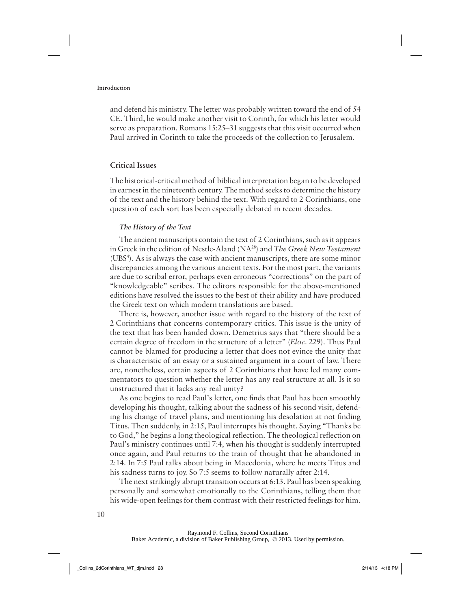and defend his ministry. The letter was probably written toward the end of 54 CE. Third, he would make another visit to Corinth, for which his letter would serve as preparation. Romans 15:25–31 suggests that this visit occurred when Paul arrived in Corinth to take the proceeds of the collection to Jerusalem.

#### **Critical Issues**

The historical-critical method of biblical interpretation began to be developed in earnest in the nineteenth century. The method seeks to determine the history of the text and the history behind the text. With regard to 2 Corinthians, one question of each sort has been especially debated in recent decades.

#### **The History of the Text**

The ancient manuscripts contain the text of 2 Corinthians, such as it appears in Greek in the edition of Nestle-Aland (NA28) and *The Greek New Testament*  (UBS<sup>4</sup>). As is always the case with ancient manuscripts, there are some minor discrepancies among the various ancient texts. For the most part, the variants are due to scribal error, perhaps even erroneous "corrections" on the part of "knowledgeable" scribes. The editors responsible for the above-mentioned editions have resolved the issues to the best of their ability and have produced the Greek text on which modern translations are based.

There is, however, another issue with regard to the history of the text of 2 Corinthians that concerns contemporary critics. This issue is the unity of the text that has been handed down. Demetrius says that "there should be a certain degree of freedom in the structure of a letter" (*Eloc.* 229). Thus Paul cannot be blamed for producing a letter that does not evince the unity that is characteristic of an essay or a sustained argument in a court of law. There are, nonetheless, certain aspects of 2 Corinthians that have led many commentators to question whether the letter has any real structure at all. Is it so unstructured that it lacks any real unity?

As one begins to read Paul's letter, one finds that Paul has been smoothly developing his thought, talking about the sadness of his second visit, defending his change of travel plans, and mentioning his desolation at not finding Titus. Then suddenly, in 2:15, Paul interrupts his thought. Saying "Thanks be to God," he begins a long theological reflection. The theological reflection on Paul's ministry continues until 7:4, when his thought is suddenly interrupted once again, and Paul returns to the train of thought that he abandoned in 2:14. In 7:5 Paul talks about being in Macedonia, where he meets Titus and his sadness turns to joy. So 7:5 seems to follow naturally after 2:14.

The next strikingly abrupt transition occurs at 6:13. Paul has been speaking personally and somewhat emotionally to the Corinthians, telling them that his wide-open feelings for them contrast with their restricted feelings for him.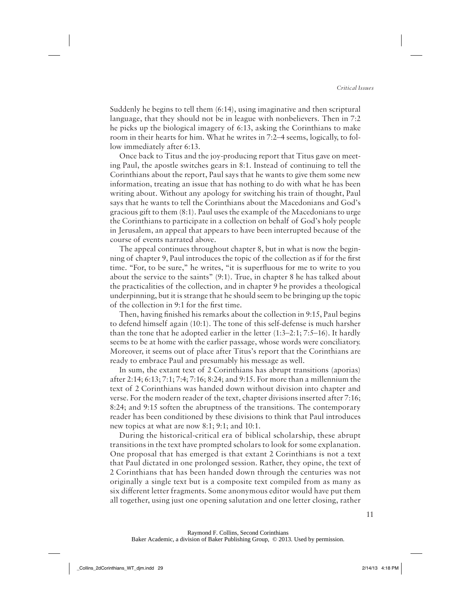Suddenly he begins to tell them (6:14), using imaginative and then scriptural language, that they should not be in league with nonbelievers. Then in 7:2 he picks up the biological imagery of 6:13, asking the Corinthians to make room in their hearts for him. What he writes in 7:2–4 seems, logically, to follow immediately after 6:13.

Once back to Titus and the joy-producing report that Titus gave on meeting Paul, the apostle switches gears in 8:1. Instead of continuing to tell the Corinthians about the report, Paul says that he wants to give them some new information, treating an issue that has nothing to do with what he has been writing about. Without any apology for switching his train of thought, Paul says that he wants to tell the Corinthians about the Macedonians and God's gracious gift to them (8:1). Paul uses the example of the Macedonians to urge the Corinthians to participate in a collection on behalf of God's holy people in Jerusalem, an appeal that appears to have been interrupted because of the course of events narrated above.

The appeal continues throughout chapter 8, but in what is now the beginning of chapter 9, Paul introduces the topic of the collection as if for the first time. "For, to be sure," he writes, "it is superfluous for me to write to you about the service to the saints" (9:1). True, in chapter 8 he has talked about the practicalities of the collection, and in chapter 9 he provides a theological underpinning, but it is strange that he should seem to be bringing up the topic of the collection in 9:1 for the first time.

Then, having finished his remarks about the collection in 9:15, Paul begins to defend himself again (10:1). The tone of this self-defense is much harsher than the tone that he adopted earlier in the letter (1:3–2:1; 7:5–16). It hardly seems to be at home with the earlier passage, whose words were conciliatory. Moreover, it seems out of place after Titus's report that the Corinthians are ready to embrace Paul and presumably his message as well.

In sum, the extant text of 2 Corinthians has abrupt transitions (aporias) after 2:14; 6:13; 7:1; 7:4; 7:16; 8:24; and 9:15. For more than a millennium the text of 2 Corinthians was handed down without division into chapter and verse. For the modern reader of the text, chapter divisions inserted after 7:16; 8:24; and 9:15 soften the abruptness of the transitions. The contemporary reader has been conditioned by these divisions to think that Paul introduces new topics at what are now 8:1; 9:1; and 10:1.

During the historical-critical era of biblical scholarship, these abrupt transitions in the text have prompted scholars to look for some explanation. One proposal that has emerged is that extant 2 Corinthians is not a text that Paul dictated in one prolonged session. Rather, they opine, the text of 2 Corinthians that has been handed down through the centuries was not originally a single text but is a composite text compiled from as many as six different letter fragments. Some anonymous editor would have put them all together, using just one opening salutation and one letter closing, rather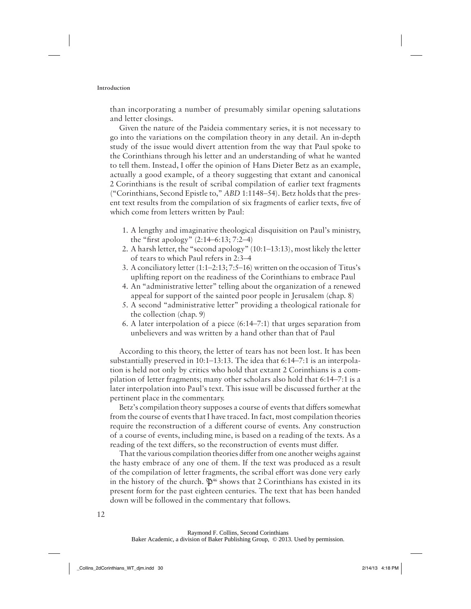than incorporating a number of presumably similar opening salutations and letter closings.

Given the nature of the Paideia commentary series, it is not necessary to go into the variations on the compilation theory in any detail. An in-depth study of the issue would divert attention from the way that Paul spoke to the Corinthians through his letter and an understanding of what he wanted to tell them. Instead, I offer the opinion of Hans Dieter Betz as an example, actually a good example, of a theory suggesting that extant and canonical 2 Corinthians is the result of scribal compilation of earlier text fragments ("Corinthians, Second Epistle to," *ABD* 1:1148–54). Betz holds that the present text results from the compilation of six fragments of earlier texts, five of which come from letters written by Paul:

- 1. A lengthy and imaginative theological disquisition on Paul's ministry, the "first apology" (2:14–6:13; 7:2–4)
- 2. A harsh letter, the "second apology" (10:1–13:13), most likely the letter of tears to which Paul refers in 2:3–4
- 3. A conciliatory letter (1:1–2:13; 7:5–16) written on the occasion of Titus's uplifting report on the readiness of the Corinthians to embrace Paul
- 4. An "administrative letter" telling about the organization of a renewed appeal for support of the sainted poor people in Jerusalem (chap. 8)
- 5. A second "administrative letter" providing a theological rationale for the collection (chap. 9)
- 6. A later interpolation of a piece (6:14–7:1) that urges separation from unbelievers and was written by a hand other than that of Paul

According to this theory, the letter of tears has not been lost. It has been substantially preserved in 10:1–13:13. The idea that 6:14–7:1 is an interpolation is held not only by critics who hold that extant 2 Corinthians is a compilation of letter fragments; many other scholars also hold that 6:14–7:1 is a later interpolation into Paul's text. This issue will be discussed further at the pertinent place in the commentary.

Betz's compilation theory supposes a course of events that differs somewhat from the course of events that I have traced. In fact, most compilation theories require the reconstruction of a different course of events. Any construction of a course of events, including mine, is based on a reading of the texts. As a reading of the text differs, so the reconstruction of events must differ.

That the various compilation theories differ from one another weighs against the hasty embrace of any one of them. If the text was produced as a result of the compilation of letter fragments, the scribal effort was done very early in the history of the church.  $\mathfrak{P}^{46}$  shows that 2 Corinthians has existed in its present form for the past eighteen centuries. The text that has been handed down will be followed in the commentary that follows.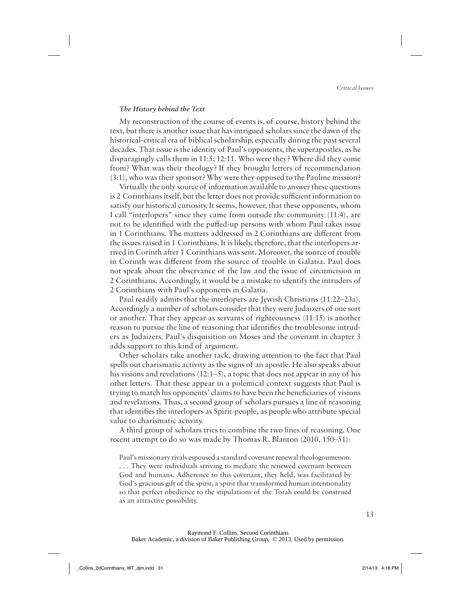#### **The History behind the Text**

My reconstruction of the course of events is, of course, history behind the text, but there is another issue that has intrigued scholars since the dawn of the historical-critical era of biblical scholarship, especially during the past several decades. That issue is the identity of Paul's opponents, the superapostles, as he disparagingly calls them in 11:5; 12:11. Who were they? Where did they come from? What was their theology? If they brought letters of recommendation (3:1), who was their sponsor? Why were they opposed to the Pauline mission?

Virtually the only source of information available to answer these questions is 2 Corinthians itself, but the letter does not provide sufficient information to satisfy our historical curiosity. It seems, however, that these opponents, whom I call "interlopers" since they came from outside the community (11:4), are not to be identified with the puffed-up persons with whom Paul takes issue in 1 Corinthians. The matters addressed in 2 Corinthians are different from the issues raised in 1 Corinthians. It is likely, therefore, that the interlopers arrived in Corinth after 1 Corinthians was sent. Moreover, the source of trouble in Corinth was different from the source of trouble in Galatia. Paul does not speak about the observance of the law and the issue of circumcision in 2 Corinthians. Accordingly, it would be a mistake to identify the intruders of 2 Corinthians with Paul's opponents in Galatia.

Paul readily admits that the interlopers are Jewish Christians (11:22–23a). Accordingly a number of scholars consider that they were Judaizers of one sort or another. That they appear as servants of righteousness (11:15) is another reason to pursue the line of reasoning that identifies the troublesome intruders as Judaizers. Paul's disquisition on Moses and the covenant in chapter 3 adds support to this kind of argument.

Other scholars take another tack, drawing attention to the fact that Paul spells out charismatic activity as the signs of an apostle. He also speaks about his visions and revelations (12:1–5), a topic that does not appear in any of his other letters. That these appear in a polemical context suggests that Paul is trying to match his opponents' claims to have been the beneficiaries of visions and revelations. Thus, a second group of scholars pursues a line of reasoning that identifies the interlopers as Spirit-people, as people who attribute special value to charismatic activity.

A third group of scholars tries to combine the two lines of reasoning. One recent attempt to do so was made by Thomas R. Blanton (2010, 150–51):

Paul's missionary rivals espoused a standard covenant renewal theologoumenon. . . . They were individuals striving to mediate the renewed covenant between God and humans. Adherence to this covenant, they held, was facilitated by God's gracious gift of the spirit, a spirit that transformed human intentionality so that perfect obedience to the stipulations of the Torah could be construed as an attractive possibility.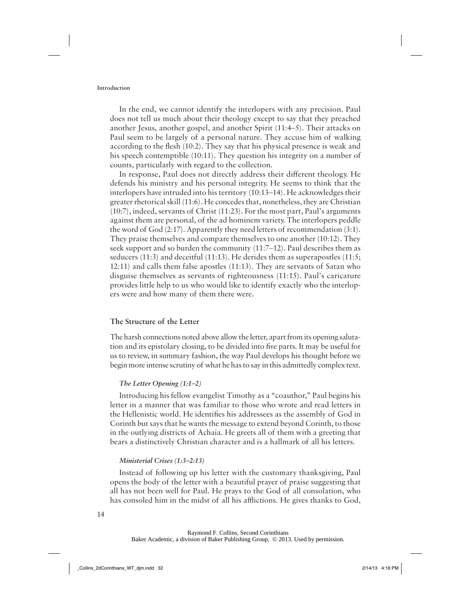In the end, we cannot identify the interlopers with any precision. Paul does not tell us much about their theology except to say that they preached another Jesus, another gospel, and another Spirit (11:4–5). Their attacks on Paul seem to be largely of a personal nature. They accuse him of walking according to the flesh (10:2). They say that his physical presence is weak and his speech contemptible (10:11). They question his integrity on a number of counts, particularly with regard to the collection.

In response, Paul does not directly address their different theology. He defends his ministry and his personal integrity. He seems to think that the interlopers have intruded into his territory (10:13–14). He acknowledges their greater rhetorical skill (11:6). He concedes that, nonetheless, they are Christian (10:7), indeed, servants of Christ (11:23). For the most part, Paul's arguments against them are personal, of the ad hominem variety. The interlopers peddle the word of God (2:17). Apparently they need letters of recommendation (3:1). They praise themselves and compare themselves to one another (10:12). They seek support and so burden the community (11:7–12). Paul describes them as seducers (11:3) and deceitful (11:13). He derides them as superapostles (11:5; 12:11) and calls them false apostles (11:13). They are servants of Satan who disguise themselves as servants of righteousness (11:15). Paul's caricature provides little help to us who would like to identify exactly who the interlopers were and how many of them there were.

#### **The Structure of the Letter**

The harsh connections noted above allow the letter, apart from its opening salutation and its epistolary closing, to be divided into five parts. It may be useful for us to review, in summary fashion, the way Paul develops his thought before we begin more intense scrutiny of what he has to say in this admittedly complex text.

#### **The Letter Opening (1:1–2)**

Introducing his fellow evangelist Timothy as a "coauthor," Paul begins his letter in a manner that was familiar to those who wrote and read letters in the Hellenistic world. He identifies his addressees as the assembly of God in Corinth but says that he wants the message to extend beyond Corinth, to those in the outlying districts of Achaia. He greets all of them with a greeting that bears a distinctively Christian character and is a hallmark of all his letters.

#### **Ministerial Crises (1:3–2:13)**

Instead of following up his letter with the customary thanksgiving, Paul opens the body of the letter with a beautiful prayer of praise suggesting that all has not been well for Paul. He prays to the God of all consolation, who has consoled him in the midst of all his afflictions. He gives thanks to God,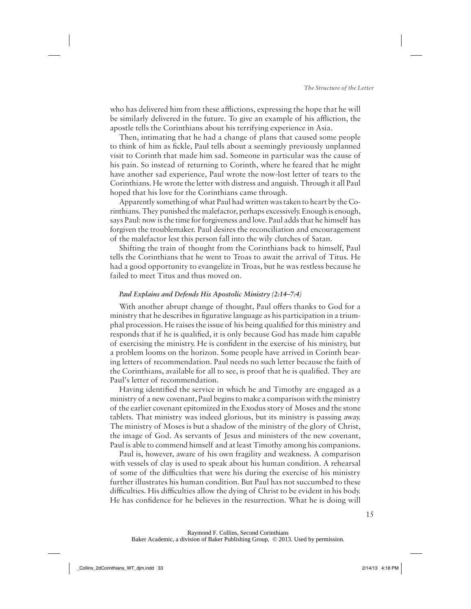who has delivered him from these afflictions, expressing the hope that he will be similarly delivered in the future. To give an example of his affliction, the apostle tells the Corinthians about his terrifying experience in Asia.

Then, intimating that he had a change of plans that caused some people to think of him as fickle, Paul tells about a seemingly previously unplanned visit to Corinth that made him sad. Someone in particular was the cause of his pain. So instead of returning to Corinth, where he feared that he might have another sad experience, Paul wrote the now-lost letter of tears to the Corinthians. He wrote the letter with distress and anguish. Through it all Paul hoped that his love for the Corinthians came through.

Apparently something of what Paul had written was taken to heart by the Corinthians. They punished the malefactor, perhaps excessively. Enough is enough, says Paul: now is the time for forgiveness and love. Paul adds that he himself has forgiven the troublemaker. Paul desires the reconciliation and encouragement of the malefactor lest this person fall into the wily clutches of Satan.

Shifting the train of thought from the Corinthians back to himself, Paul tells the Corinthians that he went to Troas to await the arrival of Titus. He had a good opportunity to evangelize in Troas, but he was restless because he failed to meet Titus and thus moved on.

#### **Paul Explains and Defends His Apostolic Ministry (2:14–7:4)**

With another abrupt change of thought, Paul offers thanks to God for a ministry that he describes in figurative language as his participation in a triumphal procession. He raises the issue of his being qualified for this ministry and responds that if he is qualified, it is only because God has made him capable of exercising the ministry. He is confident in the exercise of his ministry, but a problem looms on the horizon. Some people have arrived in Corinth bearing letters of recommendation. Paul needs no such letter because the faith of the Corinthians, available for all to see, is proof that he is qualified. They are Paul's letter of recommendation.

Having identified the service in which he and Timothy are engaged as a ministry of a new covenant, Paul begins to make a comparison with the ministry of the earlier covenant epitomized in the Exodus story of Moses and the stone tablets. That ministry was indeed glorious, but its ministry is passing away. The ministry of Moses is but a shadow of the ministry of the glory of Christ, the image of God. As servants of Jesus and ministers of the new covenant, Paul is able to commend himself and at least Timothy among his companions.

Paul is, however, aware of his own fragility and weakness. A comparison with vessels of clay is used to speak about his human condition. A rehearsal of some of the difficulties that were his during the exercise of his ministry further illustrates his human condition. But Paul has not succumbed to these difficulties. His difficulties allow the dying of Christ to be evident in his body. He has confidence for he believes in the resurrection. What he is doing will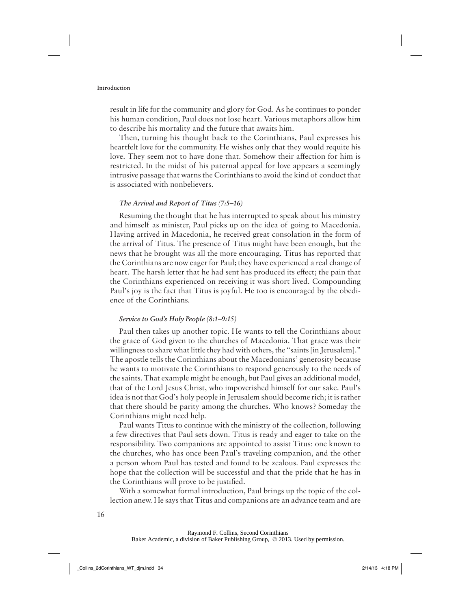result in life for the community and glory for God. As he continues to ponder his human condition, Paul does not lose heart. Various metaphors allow him to describe his mortality and the future that awaits him.

Then, turning his thought back to the Corinthians, Paul expresses his heartfelt love for the community. He wishes only that they would requite his love. They seem not to have done that. Somehow their affection for him is restricted. In the midst of his paternal appeal for love appears a seemingly intrusive passage that warns the Corinthians to avoid the kind of conduct that is associated with nonbelievers.

#### **The Arrival and Report of Titus (7:5–16)**

Resuming the thought that he has interrupted to speak about his ministry and himself as minister, Paul picks up on the idea of going to Macedonia. Having arrived in Macedonia, he received great consolation in the form of the arrival of Titus. The presence of Titus might have been enough, but the news that he brought was all the more encouraging. Titus has reported that the Corinthians are now eager for Paul; they have experienced a real change of heart. The harsh letter that he had sent has produced its effect; the pain that the Corinthians experienced on receiving it was short lived. Compounding Paul's joy is the fact that Titus is joyful. He too is encouraged by the obedience of the Corinthians.

#### **Service to God's Holy People (8:1–9:15)**

Paul then takes up another topic. He wants to tell the Corinthians about the grace of God given to the churches of Macedonia. That grace was their willingness to share what little they had with others, the "saints [in Jerusalem]." The apostle tells the Corinthians about the Macedonians' generosity because he wants to motivate the Corinthians to respond generously to the needs of the saints. That example might be enough, but Paul gives an additional model, that of the Lord Jesus Christ, who impoverished himself for our sake. Paul's idea is not that God's holy people in Jerusalem should become rich; it is rather that there should be parity among the churches. Who knows? Someday the Corinthians might need help.

Paul wants Titus to continue with the ministry of the collection, following a few directives that Paul sets down. Titus is ready and eager to take on the responsibility. Two companions are appointed to assist Titus: one known to the churches, who has once been Paul's traveling companion, and the other a person whom Paul has tested and found to be zealous. Paul expresses the hope that the collection will be successful and that the pride that he has in the Corinthians will prove to be justified.

With a somewhat formal introduction, Paul brings up the topic of the collection anew. He says that Titus and companions are an advance team and are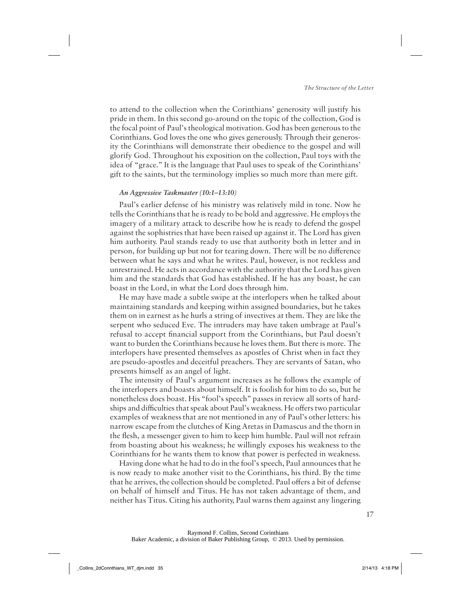to attend to the collection when the Corinthians' generosity will justify his pride in them. In this second go-around on the topic of the collection, God is the focal point of Paul's theological motivation. God has been generous to the Corinthians. God loves the one who gives generously. Through their generosity the Corinthians will demonstrate their obedience to the gospel and will glorify God. Throughout his exposition on the collection, Paul toys with the idea of "grace." It is the language that Paul uses to speak of the Corinthians' gift to the saints, but the terminology implies so much more than mere gift.

#### **An Aggressive Taskmaster (10:1–13:10)**

Paul's earlier defense of his ministry was relatively mild in tone. Now he tells the Corinthians that he is ready to be bold and aggressive. He employs the imagery of a military attack to describe how he is ready to defend the gospel against the sophistries that have been raised up against it. The Lord has given him authority. Paul stands ready to use that authority both in letter and in person, for building up but not for tearing down. There will be no difference between what he says and what he writes. Paul, however, is not reckless and unrestrained. He acts in accordance with the authority that the Lord has given him and the standards that God has established. If he has any boast, he can boast in the Lord, in what the Lord does through him.

He may have made a subtle swipe at the interlopers when he talked about maintaining standards and keeping within assigned boundaries, but he takes them on in earnest as he hurls a string of invectives at them. They are like the serpent who seduced Eve. The intruders may have taken umbrage at Paul's refusal to accept financial support from the Corinthians, but Paul doesn't want to burden the Corinthians because he loves them. But there is more. The interlopers have presented themselves as apostles of Christ when in fact they are pseudo-apostles and deceitful preachers. They are servants of Satan, who presents himself as an angel of light.

The intensity of Paul's argument increases as he follows the example of the interlopers and boasts about himself. It is foolish for him to do so, but he nonetheless does boast. His "fool's speech" passes in review all sorts of hardships and difficulties that speak about Paul's weakness. He offers two particular examples of weakness that are not mentioned in any of Paul's other letters: his narrow escape from the clutches of King Aretas in Damascus and the thorn in the flesh, a messenger given to him to keep him humble. Paul will not refrain from boasting about his weakness; he willingly exposes his weakness to the Corinthians for he wants them to know that power is perfected in weakness.

Having done what he had to do in the fool's speech, Paul announces that he is now ready to make another visit to the Corinthians, his third. By the time that he arrives, the collection should be completed. Paul offers a bit of defense on behalf of himself and Titus. He has not taken advantage of them, and neither has Titus. Citing his authority, Paul warns them against any lingering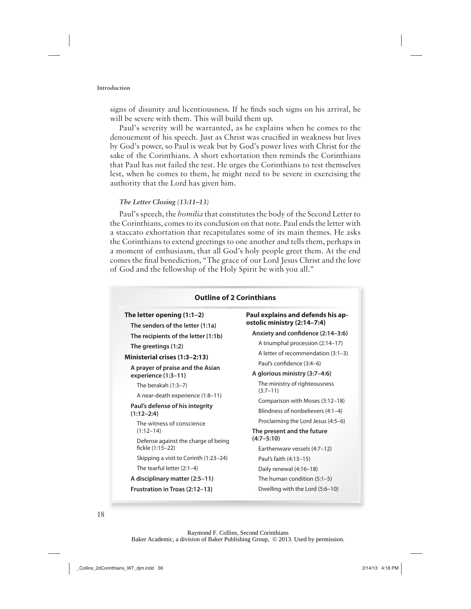signs of disunity and licentiousness. If he finds such signs on his arrival, he will be severe with them. This will build them up.

Paul's severity will be warranted, as he explains when he comes to the denouement of his speech. Just as Christ was crucified in weakness but lives by God's power, so Paul is weak but by God's power lives with Christ for the sake of the Corinthians. A short exhortation then reminds the Corinthians that Paul has not failed the test. He urges the Corinthians to test themselves lest, when he comes to them, he might need to be severe in exercising the authority that the Lord has given him.

#### **The Letter Closing (13:11–13)**

Paul's speech, the *homilia* that constitutes the body of the Second Letter to the Corinthians, comes to its conclusion on that note. Paul ends the letter with a staccato exhortation that recapitulates some of its main themes. He asks the Corinthians to extend greetings to one another and tells them, perhaps in a moment of enthusiasm, that all God's holy people greet them. At the end comes the final benediction, "The grace of our Lord Jesus Christ and the love of God and the fellowship of the Holy Spirit be with you all."

| <b>Outline of 2 Corinthians</b>                                                     |                                                                       |
|-------------------------------------------------------------------------------------|-----------------------------------------------------------------------|
| The letter opening $(1:1-2)$<br>The senders of the letter (1:1a)                    | Paul explains and defends his ap-<br>ostolic ministry (2:14-7:4)      |
| The recipients of the letter (1:1b)<br>The greetings (1:2)                          | Anxiety and confidence (2:14-3:6)<br>A triumphal procession (2:14-17) |
| Ministerial crises (1:3-2:13)                                                       | A letter of recommendation (3:1-3)<br>Paul's confidence (3:4-6)       |
| A prayer of praise and the Asian<br>experience (1:3-11)                             | A glorious ministry (3:7-4:6)                                         |
| The berakah $(1:3-7)$                                                               | The ministry of righteousness<br>$(3:7-11)$                           |
| A near-death experience (1:8-11)<br>Paul's defense of his integrity<br>$(1:12-2:4)$ | Comparison with Moses (3:12-18)<br>Blindness of nonbelievers (4:1-4)  |
| The witness of conscience<br>$(1:12-14)$                                            | Proclaiming the Lord Jesus (4:5-6)<br>The present and the future      |
| Defense against the charge of being<br>fickle (1:15-22)                             | $(4:7 - 5:10)$<br>Earthenware vessels (4:7-12)                        |
| Skipping a visit to Corinth (1:23–24)                                               | Paul's faith (4:13-15)                                                |
| The tearful letter (2:1-4)                                                          | Daily renewal (4:16-18)                                               |
| A disciplinary matter (2:5-11)                                                      | The human condition $(5:1-5)$                                         |
| Frustration in Troas (2:12-13)                                                      | Dwelling with the Lord (5:6-10)                                       |